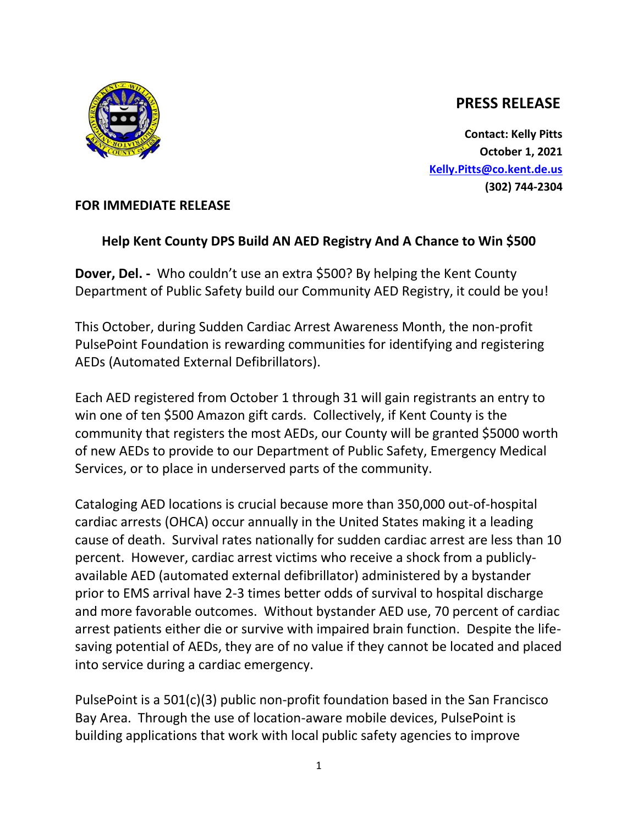## **PRESS RELEASE**

**Contact: Kelly Pitts October 1, 2021 [Kelly.Pitts@co.kent.de.us](mailto:Kelly.Pitts@co.kent.de.us) (302) 744-2304**



## **FOR IMMEDIATE RELEASE**

## **Help Kent County DPS Build AN AED Registry And A Chance to Win \$500**

**Dover, Del. -** Who couldn't use an extra \$500? By helping the Kent County Department of Public Safety build our Community AED Registry, it could be you!

This October, during Sudden Cardiac Arrest Awareness Month, the non-profit PulsePoint Foundation is rewarding communities for identifying and registering AEDs (Automated External Defibrillators).

Each AED registered from October 1 through 31 will gain registrants an entry to win one of ten \$500 Amazon gift cards. Collectively, if Kent County is the community that registers the most AEDs, our County will be granted \$5000 worth of new AEDs to provide to our Department of Public Safety, Emergency Medical Services, or to place in underserved parts of the community.

Cataloging AED locations is crucial because more than 350,000 out-of-hospital cardiac arrests (OHCA) occur annually in the United States making it a leading cause of death. Survival rates nationally for sudden cardiac arrest are less than 10 percent. However, cardiac arrest victims who receive a shock from a publiclyavailable AED (automated external defibrillator) administered by a bystander prior to EMS arrival have 2-3 times better odds of survival to hospital discharge and more favorable outcomes. Without bystander AED use, 70 percent of cardiac arrest patients either die or survive with impaired brain function. Despite the lifesaving potential of AEDs, they are of no value if they cannot be located and placed into service during a cardiac emergency.

PulsePoint is a 501(c)(3) public non-profit foundation based in the San Francisco Bay Area. Through the use of location-aware mobile devices, PulsePoint is building applications that work with local public safety agencies to improve